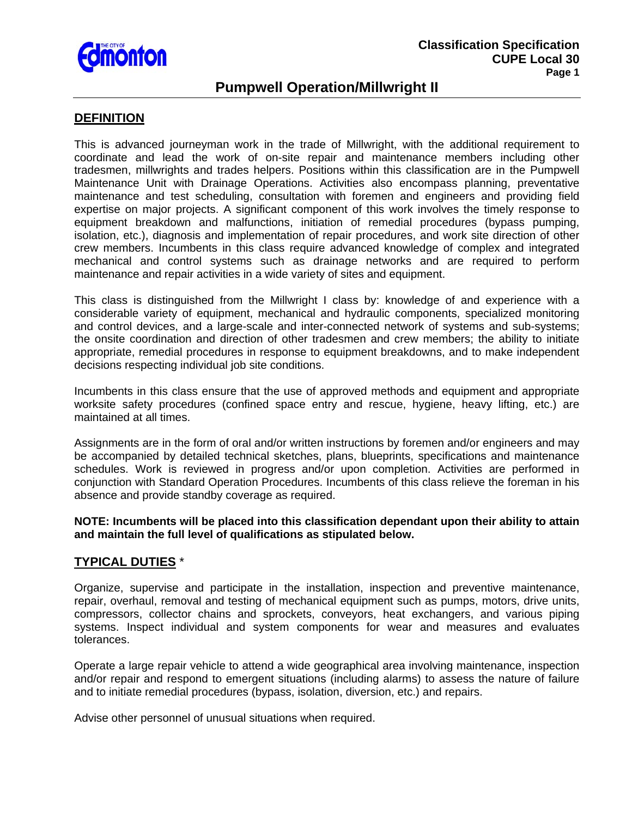

## **Pumpwell Operation/Millwright II**

## **DEFINITION**

This is advanced journeyman work in the trade of Millwright, with the additional requirement to coordinate and lead the work of on-site repair and maintenance members including other tradesmen, millwrights and trades helpers. Positions within this classification are in the Pumpwell Maintenance Unit with Drainage Operations. Activities also encompass planning, preventative maintenance and test scheduling, consultation with foremen and engineers and providing field expertise on major projects. A significant component of this work involves the timely response to equipment breakdown and malfunctions, initiation of remedial procedures (bypass pumping, isolation, etc.), diagnosis and implementation of repair procedures, and work site direction of other crew members. Incumbents in this class require advanced knowledge of complex and integrated mechanical and control systems such as drainage networks and are required to perform maintenance and repair activities in a wide variety of sites and equipment.

This class is distinguished from the Millwright I class by: knowledge of and experience with a considerable variety of equipment, mechanical and hydraulic components, specialized monitoring and control devices, and a large-scale and inter-connected network of systems and sub-systems; the onsite coordination and direction of other tradesmen and crew members; the ability to initiate appropriate, remedial procedures in response to equipment breakdowns, and to make independent decisions respecting individual job site conditions.

Incumbents in this class ensure that the use of approved methods and equipment and appropriate worksite safety procedures (confined space entry and rescue, hygiene, heavy lifting, etc.) are maintained at all times.

Assignments are in the form of oral and/or written instructions by foremen and/or engineers and may be accompanied by detailed technical sketches, plans, blueprints, specifications and maintenance schedules. Work is reviewed in progress and/or upon completion. Activities are performed in conjunction with Standard Operation Procedures. Incumbents of this class relieve the foreman in his absence and provide standby coverage as required.

**NOTE: Incumbents will be placed into this classification dependant upon their ability to attain and maintain the full level of qualifications as stipulated below.** 

### **TYPICAL DUTIES** \*

Organize, supervise and participate in the installation, inspection and preventive maintenance, repair, overhaul, removal and testing of mechanical equipment such as pumps, motors, drive units, compressors, collector chains and sprockets, conveyors, heat exchangers, and various piping systems. Inspect individual and system components for wear and measures and evaluates tolerances.

Operate a large repair vehicle to attend a wide geographical area involving maintenance, inspection and/or repair and respond to emergent situations (including alarms) to assess the nature of failure and to initiate remedial procedures (bypass, isolation, diversion, etc.) and repairs.

Advise other personnel of unusual situations when required.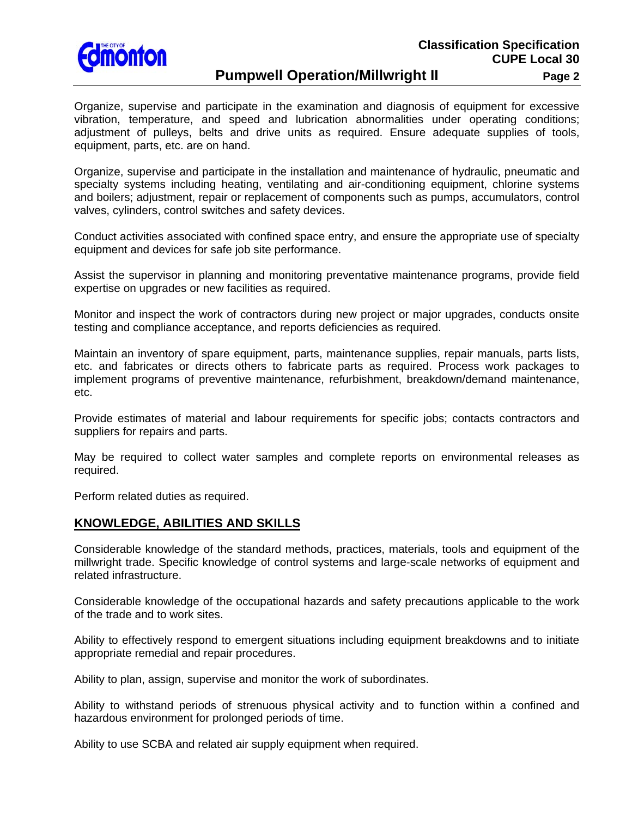

Organize, supervise and participate in the examination and diagnosis of equipment for excessive vibration, temperature, and speed and lubrication abnormalities under operating conditions; adjustment of pulleys, belts and drive units as required. Ensure adequate supplies of tools, equipment, parts, etc. are on hand.

Organize, supervise and participate in the installation and maintenance of hydraulic, pneumatic and specialty systems including heating, ventilating and air-conditioning equipment, chlorine systems and boilers; adjustment, repair or replacement of components such as pumps, accumulators, control valves, cylinders, control switches and safety devices.

Conduct activities associated with confined space entry, and ensure the appropriate use of specialty equipment and devices for safe job site performance.

Assist the supervisor in planning and monitoring preventative maintenance programs, provide field expertise on upgrades or new facilities as required.

Monitor and inspect the work of contractors during new project or major upgrades, conducts onsite testing and compliance acceptance, and reports deficiencies as required.

Maintain an inventory of spare equipment, parts, maintenance supplies, repair manuals, parts lists, etc. and fabricates or directs others to fabricate parts as required. Process work packages to implement programs of preventive maintenance, refurbishment, breakdown/demand maintenance, etc.

Provide estimates of material and labour requirements for specific jobs; contacts contractors and suppliers for repairs and parts.

May be required to collect water samples and complete reports on environmental releases as required.

Perform related duties as required.

### **KNOWLEDGE, ABILITIES AND SKILLS**

Considerable knowledge of the standard methods, practices, materials, tools and equipment of the millwright trade. Specific knowledge of control systems and large-scale networks of equipment and related infrastructure.

Considerable knowledge of the occupational hazards and safety precautions applicable to the work of the trade and to work sites.

Ability to effectively respond to emergent situations including equipment breakdowns and to initiate appropriate remedial and repair procedures.

Ability to plan, assign, supervise and monitor the work of subordinates.

Ability to withstand periods of strenuous physical activity and to function within a confined and hazardous environment for prolonged periods of time.

Ability to use SCBA and related air supply equipment when required.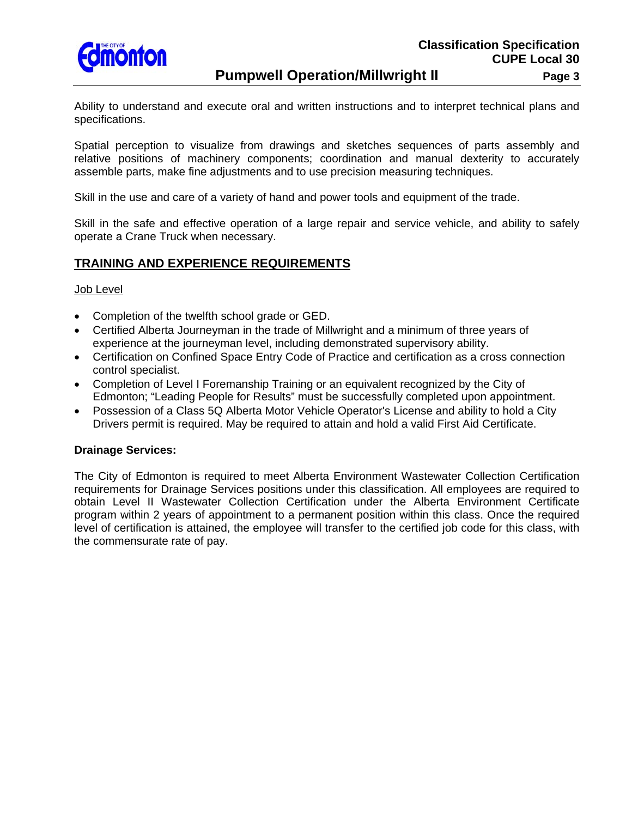

Ability to understand and execute oral and written instructions and to interpret technical plans and specifications.

Spatial perception to visualize from drawings and sketches sequences of parts assembly and relative positions of machinery components; coordination and manual dexterity to accurately assemble parts, make fine adjustments and to use precision measuring techniques.

Skill in the use and care of a variety of hand and power tools and equipment of the trade.

Skill in the safe and effective operation of a large repair and service vehicle, and ability to safely operate a Crane Truck when necessary.

### **TRAINING AND EXPERIENCE REQUIREMENTS**

#### Job Level

- Completion of the twelfth school grade or GED.
- Certified Alberta Journeyman in the trade of Millwright and a minimum of three years of experience at the journeyman level, including demonstrated supervisory ability.
- Certification on Confined Space Entry Code of Practice and certification as a cross connection control specialist.
- Completion of Level I Foremanship Training or an equivalent recognized by the City of Edmonton; "Leading People for Results" must be successfully completed upon appointment.
- Possession of a Class 5Q Alberta Motor Vehicle Operator's License and ability to hold a City Drivers permit is required. May be required to attain and hold a valid First Aid Certificate.

#### **Drainage Services:**

The City of Edmonton is required to meet Alberta Environment Wastewater Collection Certification requirements for Drainage Services positions under this classification. All employees are required to obtain Level II Wastewater Collection Certification under the Alberta Environment Certificate program within 2 years of appointment to a permanent position within this class. Once the required level of certification is attained, the employee will transfer to the certified job code for this class, with the commensurate rate of pay.